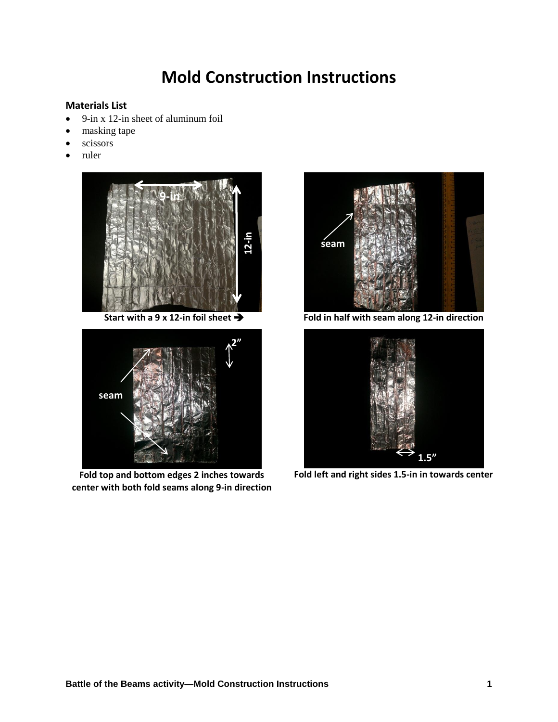## **Mold Construction Instructions**

## **Materials List**

- 9-in x 12-in sheet of aluminum foil
- masking tape
- scissors
- ruler





**Fold top and bottom edges 2 inches towards center with both fold seams along 9-in direction**



**Start with a 9 x 12-in foil sheet Fold in half with seam along 12-in direction**



**Fold left and right sides 1.5-in in towards center**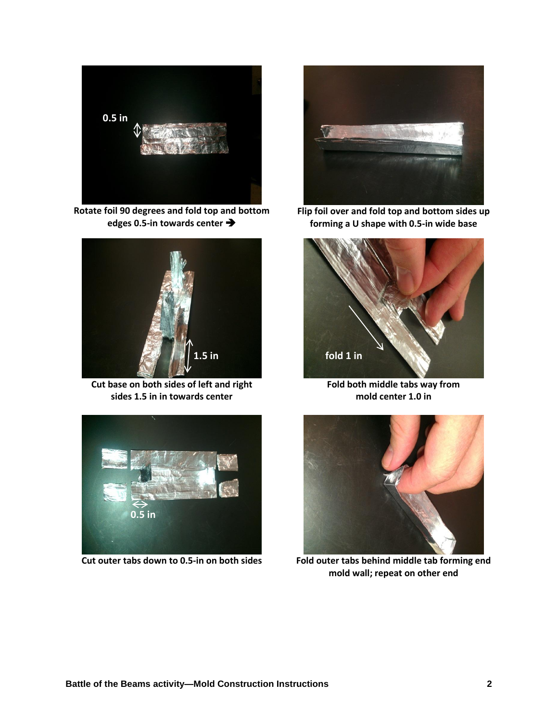

**Rotate foil 90 degrees and fold top and bottom edges 0.5-in towards center**



**Cut base on both sides of left and right sides 1.5 in in towards center**



**Flip foil over and fold top and bottom sides up forming a U shape with 0.5-in wide base**



**Fold both middle tabs way from mold center 1.0 in**





**Cut outer tabs down to 0.5-in on both sides Fold outer tabs behind middle tab forming end mold wall; repeat on other end**